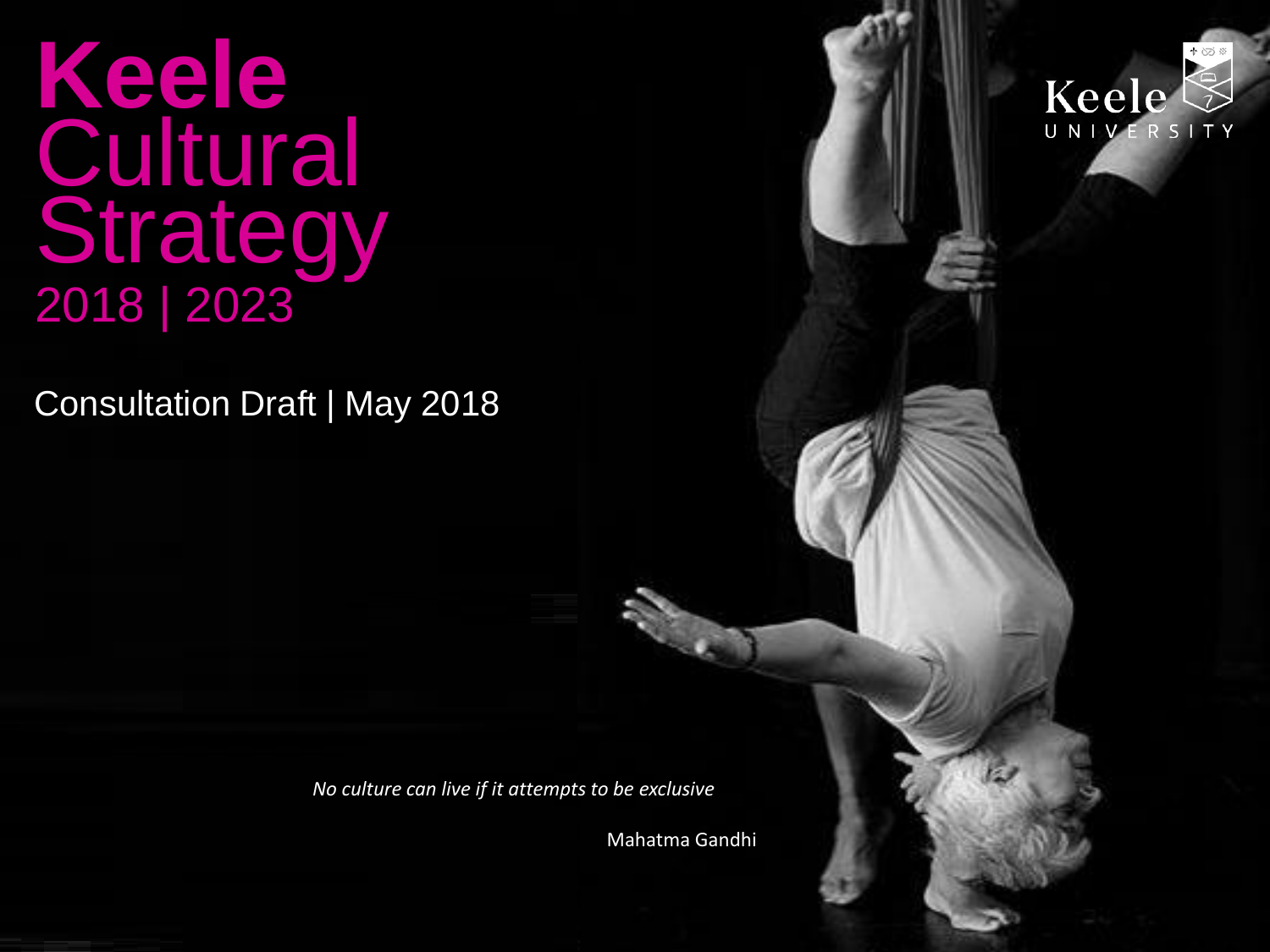**Keele** Cultural **Strategy** 2018 | 2023

Consultation Draft | May 2018

*No culture can live if it attempts to be exclusive*

Mahatma Gandhi

Keele

UNIVERSITY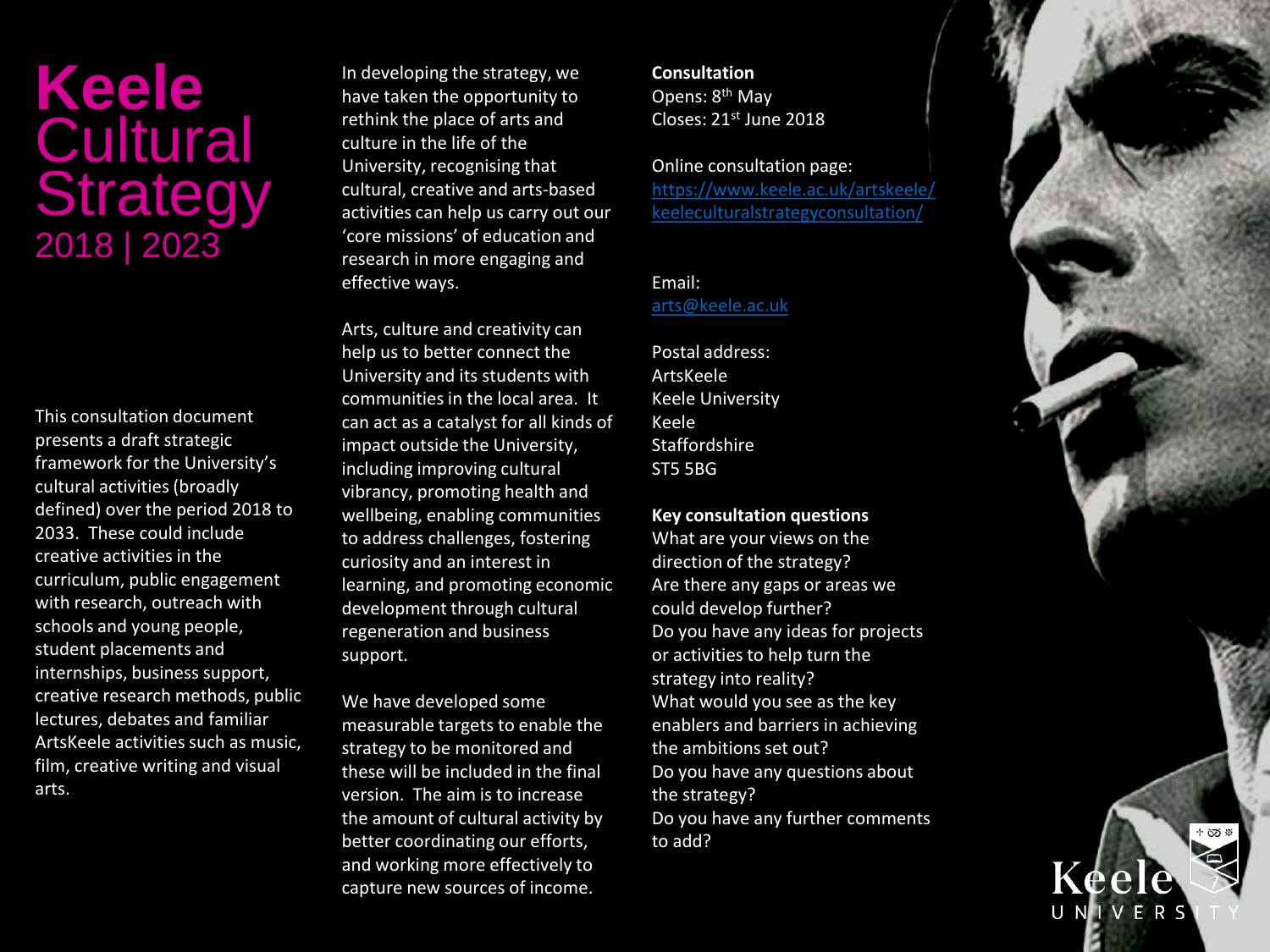# **Keele Cultural Strategy** 2018 | 2023

This consultation document presents a draft strategic framework for the University's cultural activities (broadly defined) over the period 2018 to 2033. These could include creative activities in the curriculum, public engagement with research, outreach with schools and young people, student placements and internships, business support, creative research methods, public lectures, debates and familiar ArtsKeele activities such as music, film, creative writing and visual arts.

In developing the strategy, we have taken the opportunity to rethink the place of arts and culture in the life of the University, recognising that cultural, creative and arts-based activities can help us carry out our 'core missions' of education and research in more engaging and effective ways.

Arts, culture and creativity can help us to better connect the University and its students with communities in the local area. It can act as a catalyst for all kinds of impact outside the University, including improving cultural vibrancy, promoting health and wellbeing, enabling communities to address challenges, fostering curiosity and an interest in learning, and promoting economic development through cultural regeneration and business support.

We have developed some measurable targets to enable the strategy to be monitored and these will be included in the final version. The aim is to increase the amount of cultural activity by better coordinating our efforts, and working more effectively to capture new sources of income.

**Consultation** Opens: 8th May Closes: 21st June 2018

Online consultation page: [https://www.keele.ac.uk/artskeele/](https://www.keele.ac.uk/artskeele/keeleculturalstrategyconsultation/) keeleculturalstrategyconsultation/

Email: [arts@keele.ac.uk](mailto:arts@keele.ac.uk)

Postal address: ArtsKeele Keele University Keele Staffordshire ST5 5BG

**Key consultation questions**

What are your views on the direction of the strategy? Are there any gaps or areas we could develop further? Do you have any ideas for projects or activities to help turn the strategy into reality? What would you see as the key enablers and barriers in achieving the ambitions set out? Do you have any questions about the strategy? Do you have any further comments to add?